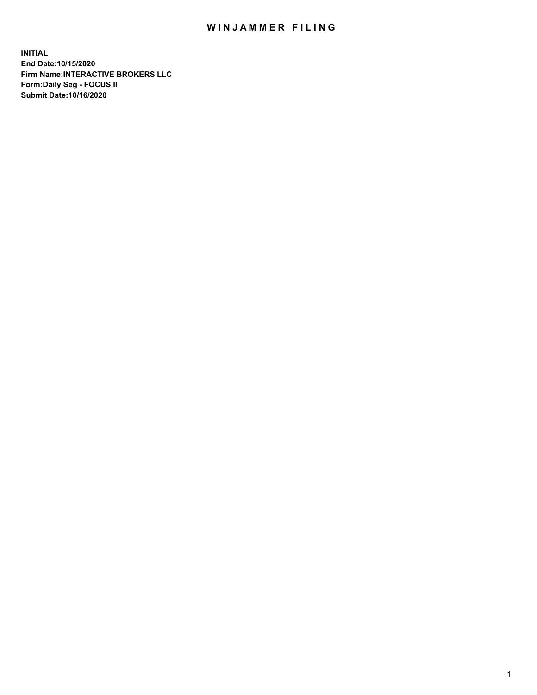## WIN JAMMER FILING

**INITIAL End Date:10/15/2020 Firm Name:INTERACTIVE BROKERS LLC Form:Daily Seg - FOCUS II Submit Date:10/16/2020**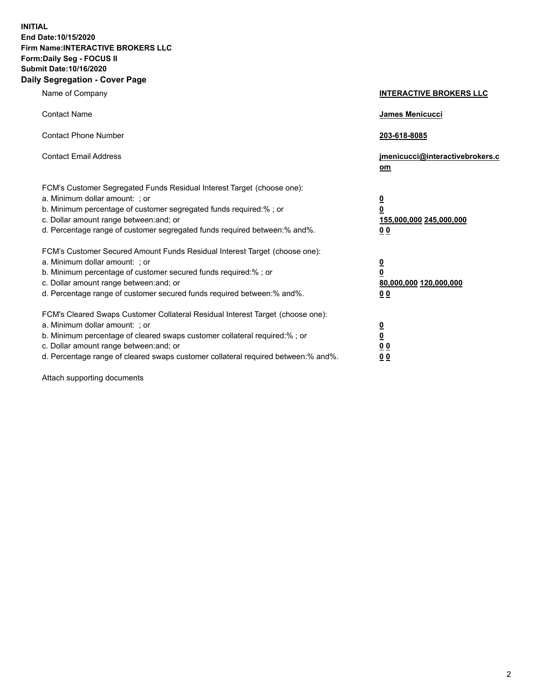**INITIAL End Date:10/15/2020 Firm Name:INTERACTIVE BROKERS LLC Form:Daily Seg - FOCUS II Submit Date:10/16/2020 Daily Segregation - Cover Page**

| Name of Company                                                                                                                                                                                                                                                                                                                | <b>INTERACTIVE BROKERS LLC</b>                                                  |  |
|--------------------------------------------------------------------------------------------------------------------------------------------------------------------------------------------------------------------------------------------------------------------------------------------------------------------------------|---------------------------------------------------------------------------------|--|
| <b>Contact Name</b>                                                                                                                                                                                                                                                                                                            | James Menicucci                                                                 |  |
| <b>Contact Phone Number</b>                                                                                                                                                                                                                                                                                                    | 203-618-8085                                                                    |  |
| <b>Contact Email Address</b>                                                                                                                                                                                                                                                                                                   | jmenicucci@interactivebrokers.c<br>om                                           |  |
| FCM's Customer Segregated Funds Residual Interest Target (choose one):<br>a. Minimum dollar amount: ; or<br>b. Minimum percentage of customer segregated funds required:%; or<br>c. Dollar amount range between: and; or<br>d. Percentage range of customer segregated funds required between:% and%.                          | <u>0</u><br>$\overline{\mathbf{0}}$<br>155,000,000 245,000,000<br><u>00</u>     |  |
| FCM's Customer Secured Amount Funds Residual Interest Target (choose one):<br>a. Minimum dollar amount: ; or<br>b. Minimum percentage of customer secured funds required:% ; or<br>c. Dollar amount range between: and; or<br>d. Percentage range of customer secured funds required between:% and%.                           | <u>0</u><br>$\overline{\mathbf{0}}$<br>80,000,000 120,000,000<br>0 <sub>0</sub> |  |
| FCM's Cleared Swaps Customer Collateral Residual Interest Target (choose one):<br>a. Minimum dollar amount: ; or<br>b. Minimum percentage of cleared swaps customer collateral required:% ; or<br>c. Dollar amount range between: and; or<br>d. Percentage range of cleared swaps customer collateral required between:% and%. | <u>0</u><br>$\underline{\mathbf{0}}$<br>0 <sub>0</sub><br>0 <sub>0</sub>        |  |

Attach supporting documents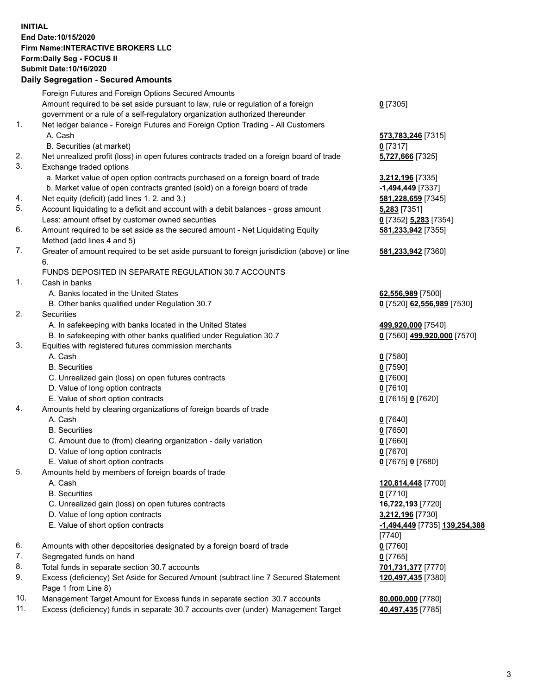**INITIAL End Date:10/15/2020 Firm Name:INTERACTIVE BROKERS LLC Form:Daily Seg - FOCUS II Submit Date:10/16/2020 Daily Segregation - Secured Amounts**

## Foreign Futures and Foreign Options Secured Amounts Amount required to be set aside pursuant to law, rule or regulation of a foreign government or a rule of a self-regulatory organization authorized thereunder **0** [7305] 1. Net ledger balance - Foreign Futures and Foreign Option Trading - All Customers A. Cash **573,783,246** [7315] B. Securities (at market) **0** [7317] 2. Net unrealized profit (loss) in open futures contracts traded on a foreign board of trade **5,727,666** [7325] 3. Exchange traded options a. Market value of open option contracts purchased on a foreign board of trade **3,212,196** [7335] b. Market value of open contracts granted (sold) on a foreign board of trade **-1,494,449** [7337] 4. Net equity (deficit) (add lines 1. 2. and 3.) **581,228,659** [7345] 5. Account liquidating to a deficit and account with a debit balances - gross amount **5,283** [7351] Less: amount offset by customer owned securities **0** [7352] **5,283** [7354] 6. Amount required to be set aside as the secured amount - Net Liquidating Equity Method (add lines 4 and 5) **581,233,942** [7355] 7. Greater of amount required to be set aside pursuant to foreign jurisdiction (above) or line 6. **581,233,942** [7360] FUNDS DEPOSITED IN SEPARATE REGULATION 30.7 ACCOUNTS 1. Cash in banks A. Banks located in the United States **62,556,989** [7500] B. Other banks qualified under Regulation 30.7 **0** [7520] **62,556,989** [7530] 2. Securities A. In safekeeping with banks located in the United States **499,920,000** [7540] B. In safekeeping with other banks qualified under Regulation 30.7 **0** [7560] **499,920,000** [7570] 3. Equities with registered futures commission merchants A. Cash **0** [7580] B. Securities **0** [7590] C. Unrealized gain (loss) on open futures contracts **0** [7600] D. Value of long option contracts **0** [7610] E. Value of short option contracts **0** [7615] **0** [7620] 4. Amounts held by clearing organizations of foreign boards of trade A. Cash **0** [7640] B. Securities **0** [7650] C. Amount due to (from) clearing organization - daily variation **0** [7660] D. Value of long option contracts **0** [7670] E. Value of short option contracts **0** [7675] **0** [7680] 5. Amounts held by members of foreign boards of trade A. Cash **120,814,448** [7700] B. Securities **0** [7710] C. Unrealized gain (loss) on open futures contracts **16,722,193** [7720] D. Value of long option contracts **3,212,196** [7730] E. Value of short option contracts **-1,494,449** [7735] **139,254,388** [7740] 6. Amounts with other depositories designated by a foreign board of trade **0** [7760] 7. Segregated funds on hand **0** [7765] 8. Total funds in separate section 30.7 accounts **701,731,377** [7770] 9. Excess (deficiency) Set Aside for Secured Amount (subtract line 7 Secured Statement Page 1 from Line 8) **120,497,435** [7380] 10. Management Target Amount for Excess funds in separate section 30.7 accounts **80,000,000** [7780] 11. Excess (deficiency) funds in separate 30.7 accounts over (under) Management Target **40,497,435** [7785]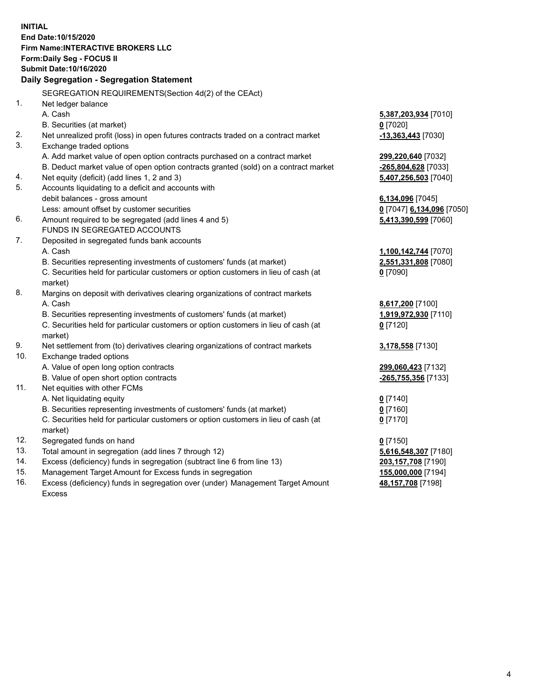**INITIAL End Date:10/15/2020 Firm Name:INTERACTIVE BROKERS LLC Form:Daily Seg - FOCUS II Submit Date:10/16/2020 Daily Segregation - Segregation Statement** SEGREGATION REQUIREMENTS(Section 4d(2) of the CEAct) 1. Net ledger balance A. Cash **5,387,203,934** [7010] B. Securities (at market) **0** [7020] 2. Net unrealized profit (loss) in open futures contracts traded on a contract market **-13,363,443** [7030] 3. Exchange traded options A. Add market value of open option contracts purchased on a contract market **299,220,640** [7032] B. Deduct market value of open option contracts granted (sold) on a contract market **-265,804,628** [7033] 4. Net equity (deficit) (add lines 1, 2 and 3) **5,407,256,503** [7040] 5. Accounts liquidating to a deficit and accounts with debit balances - gross amount **6,134,096** [7045] Less: amount offset by customer securities **0** [7047] **6,134,096** [7050] 6. Amount required to be segregated (add lines 4 and 5) **5,413,390,599** [7060] FUNDS IN SEGREGATED ACCOUNTS 7. Deposited in segregated funds bank accounts A. Cash **1,100,142,744** [7070] B. Securities representing investments of customers' funds (at market) **2,551,331,808** [7080] C. Securities held for particular customers or option customers in lieu of cash (at market) **0** [7090] 8. Margins on deposit with derivatives clearing organizations of contract markets A. Cash **8,617,200** [7100] B. Securities representing investments of customers' funds (at market) **1,919,972,930** [7110] C. Securities held for particular customers or option customers in lieu of cash (at market) **0** [7120] 9. Net settlement from (to) derivatives clearing organizations of contract markets **3,178,558** [7130] 10. Exchange traded options A. Value of open long option contracts **299,060,423** [7132] B. Value of open short option contracts **-265,755,356** [7133] 11. Net equities with other FCMs A. Net liquidating equity **0** [7140] B. Securities representing investments of customers' funds (at market) **0** [7160] C. Securities held for particular customers or option customers in lieu of cash (at market) **0** [7170] 12. Segregated funds on hand **0** [7150] 13. Total amount in segregation (add lines 7 through 12) **5,616,548,307** [7180] 14. Excess (deficiency) funds in segregation (subtract line 6 from line 13) **203,157,708** [7190] 15. Management Target Amount for Excess funds in segregation **155,000,000** [7194]

16. Excess (deficiency) funds in segregation over (under) Management Target Amount Excess

**48,157,708** [7198]